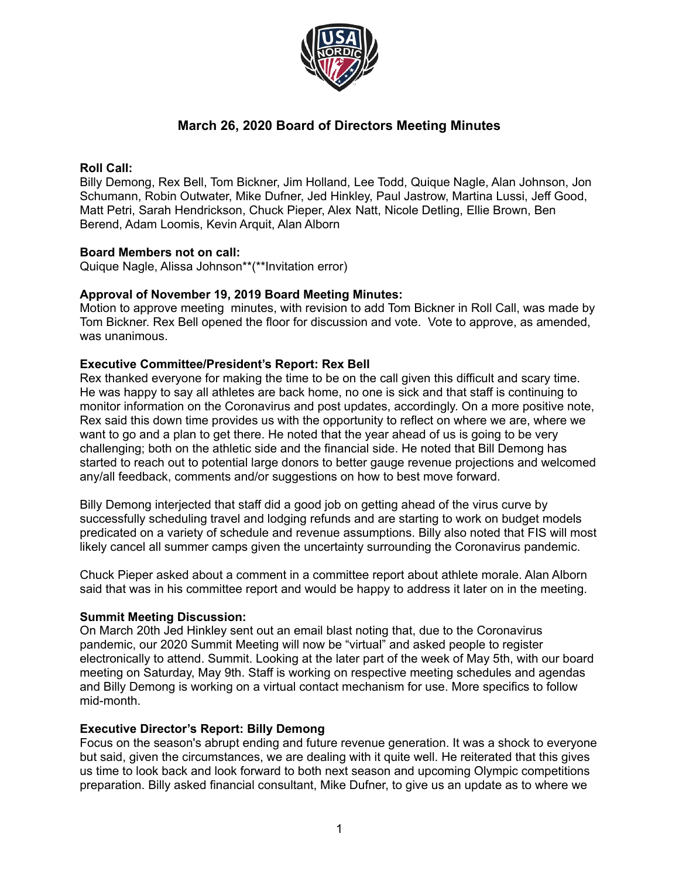

# **March 26, 2020 Board of Directors Meeting Minutes**

## **Roll Call:**

Billy Demong, Rex Bell, Tom Bickner, Jim Holland, Lee Todd, Quique Nagle, Alan Johnson, Jon Schumann, Robin Outwater, Mike Dufner, Jed Hinkley, Paul Jastrow, Martina Lussi, Jeff Good, Matt Petri, Sarah Hendrickson, Chuck Pieper, Alex Natt, Nicole Detling, Ellie Brown, Ben Berend, Adam Loomis, Kevin Arquit, Alan Alborn

## **Board Members not on call:**

Quique Nagle, Alissa Johnson\*\*(\*\*Invitation error)

### **Approval of November 19, 2019 Board Meeting Minutes:**

Motion to approve meeting minutes, with revision to add Tom Bickner in Roll Call, was made by Tom Bickner. Rex Bell opened the floor for discussion and vote. Vote to approve, as amended, was unanimous.

## **Executive Committee/President's Report: Rex Bell**

Rex thanked everyone for making the time to be on the call given this difficult and scary time. He was happy to say all athletes are back home, no one is sick and that staff is continuing to monitor information on the Coronavirus and post updates, accordingly. On a more positive note, Rex said this down time provides us with the opportunity to reflect on where we are, where we want to go and a plan to get there. He noted that the year ahead of us is going to be very challenging; both on the athletic side and the financial side. He noted that Bill Demong has started to reach out to potential large donors to better gauge revenue projections and welcomed any/all feedback, comments and/or suggestions on how to best move forward.

Billy Demong interjected that staff did a good job on getting ahead of the virus curve by successfully scheduling travel and lodging refunds and are starting to work on budget models predicated on a variety of schedule and revenue assumptions. Billy also noted that FIS will most likely cancel all summer camps given the uncertainty surrounding the Coronavirus pandemic.

Chuck Pieper asked about a comment in a committee report about athlete morale. Alan Alborn said that was in his committee report and would be happy to address it later on in the meeting.

### **Summit Meeting Discussion:**

On March 20th Jed Hinkley sent out an email blast noting that, due to the Coronavirus pandemic, our 2020 Summit Meeting will now be "virtual" and asked people to register electronically to attend. Summit. Looking at the later part of the week of May 5th, with our board meeting on Saturday, May 9th. Staff is working on respective meeting schedules and agendas and Billy Demong is working on a virtual contact mechanism for use. More specifics to follow mid-month.

### **Executive Director's Report: Billy Demong**

Focus on the season's abrupt ending and future revenue generation. It was a shock to everyone but said, given the circumstances, we are dealing with it quite well. He reiterated that this gives us time to look back and look forward to both next season and upcoming Olympic competitions preparation. Billy asked financial consultant, Mike Dufner, to give us an update as to where we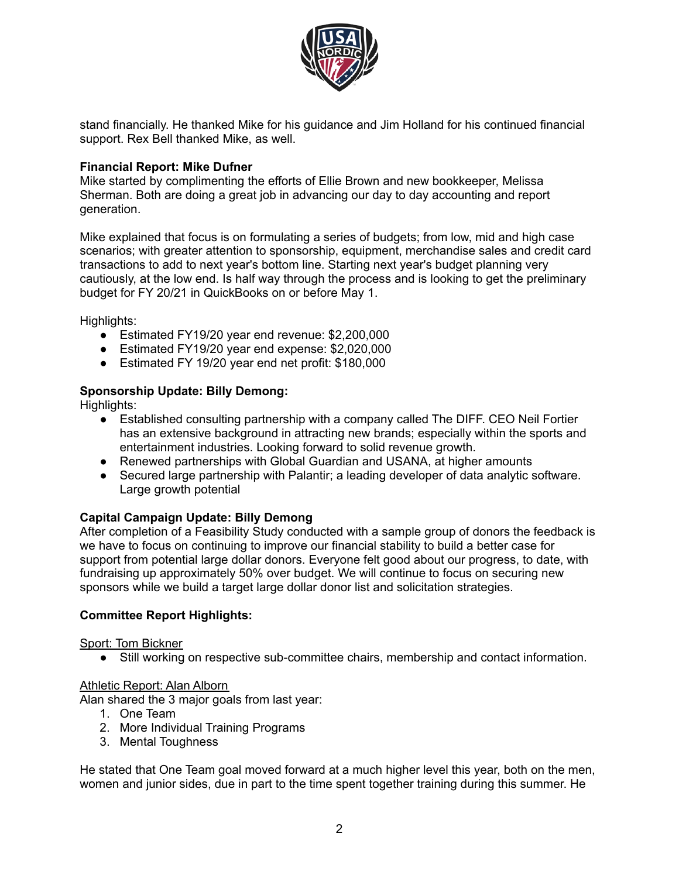

stand financially. He thanked Mike for his guidance and Jim Holland for his continued financial support. Rex Bell thanked Mike, as well.

# **Financial Report: Mike Dufner**

Mike started by complimenting the efforts of Ellie Brown and new bookkeeper, Melissa Sherman. Both are doing a great job in advancing our day to day accounting and report generation.

Mike explained that focus is on formulating a series of budgets; from low, mid and high case scenarios; with greater attention to sponsorship, equipment, merchandise sales and credit card transactions to add to next year's bottom line. Starting next year's budget planning very cautiously, at the low end. Is half way through the process and is looking to get the preliminary budget for FY 20/21 in QuickBooks on or before May 1.

Highlights:

- Estimated FY19/20 year end revenue: \$2,200,000
- Estimated FY19/20 year end expense: \$2,020,000
- Estimated FY 19/20 year end net profit: \$180,000

# **Sponsorship Update: Billy Demong:**

Highlights:

- Established consulting partnership with a company called The DIFF. CEO Neil Fortier has an extensive background in attracting new brands; especially within the sports and entertainment industries. Looking forward to solid revenue growth.
- Renewed partnerships with Global Guardian and USANA, at higher amounts
- Secured large partnership with Palantir; a leading developer of data analytic software. Large growth potential

# **Capital Campaign Update: Billy Demong**

After completion of a Feasibility Study conducted with a sample group of donors the feedback is we have to focus on continuing to improve our financial stability to build a better case for support from potential large dollar donors. Everyone felt good about our progress, to date, with fundraising up approximately 50% over budget. We will continue to focus on securing new sponsors while we build a target large dollar donor list and solicitation strategies.

# **Committee Report Highlights:**

# Sport: Tom Bickner

● Still working on respective sub-committee chairs, membership and contact information.

# Athletic Report: Alan Alborn

Alan shared the 3 major goals from last year:

- 1. One Team
- 2. More Individual Training Programs
- 3. Mental Toughness

He stated that One Team goal moved forward at a much higher level this year, both on the men, women and junior sides, due in part to the time spent together training during this summer. He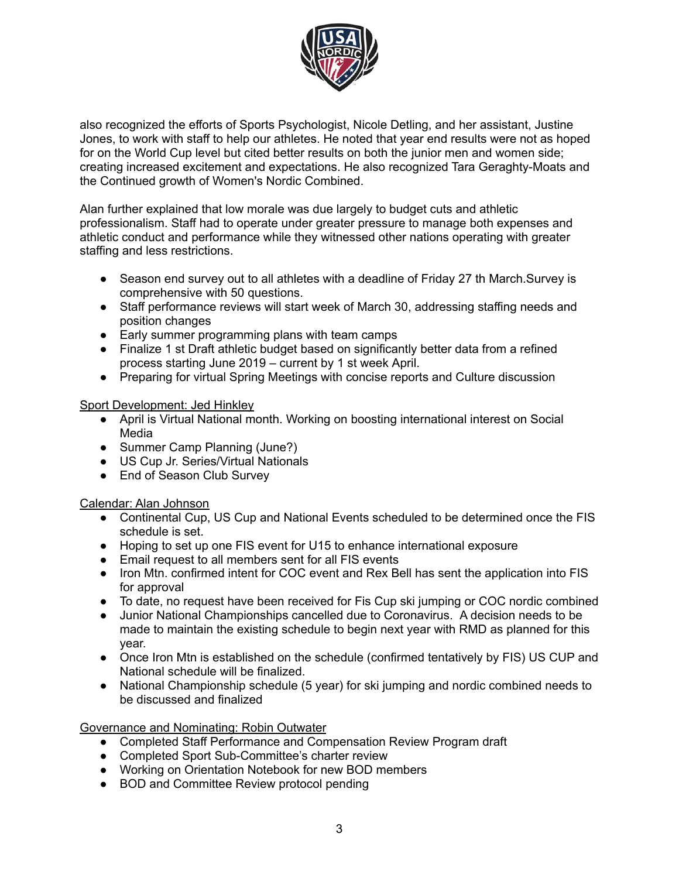

also recognized the efforts of Sports Psychologist, Nicole Detling, and her assistant, Justine Jones, to work with staff to help our athletes. He noted that year end results were not as hoped for on the World Cup level but cited better results on both the junior men and women side; creating increased excitement and expectations. He also recognized Tara Geraghty-Moats and the Continued growth of Women's Nordic Combined.

Alan further explained that low morale was due largely to budget cuts and athletic professionalism. Staff had to operate under greater pressure to manage both expenses and athletic conduct and performance while they witnessed other nations operating with greater staffing and less restrictions.

- Season end survey out to all athletes with a deadline of Friday 27 th March. Survey is comprehensive with 50 questions.
- Staff performance reviews will start week of March 30, addressing staffing needs and position changes
- Early summer programming plans with team camps
- Finalize 1 st Draft athletic budget based on significantly better data from a refined process starting June 2019 – current by 1 st week April.
- Preparing for virtual Spring Meetings with concise reports and Culture discussion

## Sport Development: Jed Hinkley

- April is Virtual National month. Working on boosting international interest on Social Media
- Summer Camp Planning (June?)
- US Cup Jr. Series/Virtual Nationals
- End of Season Club Survey

# Calendar: Alan Johnson

- Continental Cup, US Cup and National Events scheduled to be determined once the FIS schedule is set.
- Hoping to set up one FIS event for U15 to enhance international exposure
- Email request to all members sent for all FIS events
- Iron Mtn. confirmed intent for COC event and Rex Bell has sent the application into FIS for approval
- To date, no request have been received for Fis Cup ski jumping or COC nordic combined
- Junior National Championships cancelled due to Coronavirus. A decision needs to be made to maintain the existing schedule to begin next year with RMD as planned for this year.
- Once Iron Mtn is established on the schedule (confirmed tentatively by FIS) US CUP and National schedule will be finalized.
- National Championship schedule (5 year) for ski jumping and nordic combined needs to be discussed and finalized

Governance and Nominating: Robin Outwater

- Completed Staff Performance and Compensation Review Program draft
- Completed Sport Sub-Committee's charter review
- Working on Orientation Notebook for new BOD members
- BOD and Committee Review protocol pending